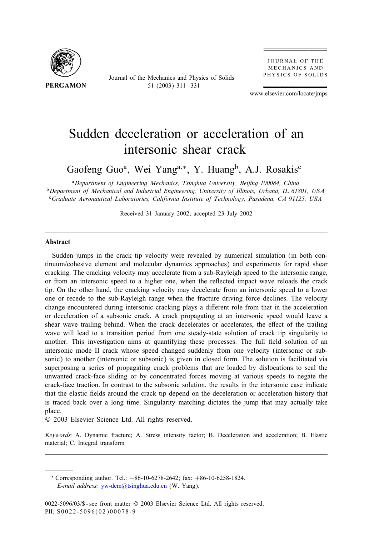

Journal of the Mechanics and Physics of Solids 51 (2003) 311 – 331

**JOURNAL OF THE** MECHANICS AND PHYSICS OF SOLIDS

www.elsevier.com/locate/jmps

# Sudden deceleration or acceleration of an intersonic shear crack

Gaofeng Guo<sup>a</sup>, Wei Yang<sup>a,\*</sup>, Y. Huang<sup>b</sup>, A.J. Rosakis<sup>c</sup>

<sup>a</sup>*Department of Engineering Mechanics, Tsinghua University, Beijing 100084, China* <sup>b</sup>Department of Mechanical and Industrial Engineering, University of Illinois, Urbana, IL 61801, USA <sup>c</sup>*Graduate Aeronautical Laboratories, California Institute of Technology, Pasadena, CA 91125, USA*

Received 31 January 2002; accepted 23 July 2002

#### **Abstract**

Sudden jumps in the crack tip velocity were revealed by numerical simulation (in both continuum/cohesive element and molecular dynamics approaches) and experiments for rapid shear cracking. The cracking velocity may accelerate from a sub-Rayleigh speed to the intersonic range, or from an intersonic speed to a higher one, when the re1ected impact wave reloads the crack tip. On the other hand, the cracking velocity may decelerate from an intersonic speed to a lower one or recede to the sub-Rayleigh range when the fracture driving force declines. The velocity change encountered during intersonic cracking plays a different role from that in the acceleration or deceleration of a subsonic crack. A crack propagating at an intersonic speed would leave a shear wave trailing behind. When the crack decelerates or accelerates, the effect of the trailing wave will lead to a transition period from one steady-state solution of crack tip singularity to another. This investigation aims at quantifying these processes. The full field solution of an intersonic mode II crack whose speed changed suddenly from one velocity (intersonic or subsonic) to another (intersonic or subsonic) is given in closed form. The solution is facilitated via superposing a series of propagating crack problems that are loaded by dislocations to seal the unwanted crack-face sliding or by concentrated forces moving at various speeds to negate the crack-face traction. In contrast to the subsonic solution, the results in the intersonic case indicate that the elastic fields around the crack tip depend on the deceleration or acceleration history that is traced back over a long time. Singularity matching dictates the jump that may actually take place.

? 2003 Elsevier Science Ltd. All rights reserved.

*Keywords:* A. Dynamic fracture; A. Stress intensity factor; B. Deceleration and acceleration; B. Elastic material; C. Integral transform

∗ Corresponding author. Tel.: +86-10-6278-2642; fax: +86-10-6258-1824. *E-mail address:* [yw-dem@tsinghua.edu.cn](mailto:yw-dem@tsinghua.edu.cn) (W. Yang).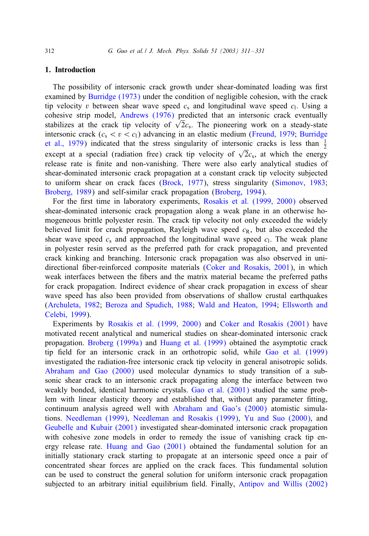#### 1. Introduction

The possibility of intersonic crack growth under shear-dominated loading was first examined by [Burridge \(1973\)](#page-19-0) under the condition of negligible cohesion, with the crack tip velocity v between shear wave speed  $c_s$  and longitudinal wave speed  $c_1$ . Using a cohesive strip model, [Andrews \(1976\)](#page-19-0) predicted that an intersonic crack eventually stabilizes at the crack tip velocity of  $\sqrt{2}c_s$ . The pioneering work on a steady-state intersonic crack ( $c_s < v < c_l$ ) advancing in an elastic medium [\(Freund, 1979;](#page-19-0) [Burridge](#page-19-0) [et al., 1979\)](#page-19-0) indicated that the stress singularity of intersonic cracks is less than  $\frac{1}{2}$ except at a special (radiation free) crack tip velocity of  $\sqrt{2}c_s$ , at which the energy release rate is 5nite and non-vanishing. There were also early analytical studies of shear-dominated intersonic crack propagation at a constant crack tip velocity subjected to uniform shear on crack faces [\(Brock, 1977\)](#page-19-0), stress singularity [\(Simonov, 1983;](#page-19-0) [Broberg, 1989\)](#page-19-0) and self-similar crack propagation [\(Broberg, 1994\)](#page-19-0).

For the first time in laboratory experiments, [Rosakis et al. \(1999, 2000\)](#page-19-0) observed shear-dominated intersonic crack propagation along a weak plane in an otherwise homogeneous brittle polyester resin. The crack tip velocity not only exceeded the widely believed limit for crack propagation, Rayleigh wave speed  $c<sub>R</sub>$ , but also exceeded the shear wave speed  $c_s$  and approached the longitudinal wave speed  $c_1$ . The weak plane in polyester resin served as the preferred path for crack propagation, and prevented crack kinking and branching. Intersonic crack propagation was also observed in uni-directional fiber-reinforced composite materials [\(Coker and Rosakis, 2001\)](#page-19-0), in which weak interfaces between the fibers and the matrix material became the preferred paths for crack propagation. Indirect evidence of shear crack propagation in excess of shear wave speed has also been provided from observations of shallow crustal earthquakes [\(Archuleta, 1982;](#page-19-0) [Beroza and Spudich, 1988;](#page-19-0) [Wald and Heaton, 1994;](#page-19-0) [Ellsworth and](#page-19-0) [Celebi, 1999\)](#page-19-0).

Experiments by [Rosakis et al. \(1999, 2000\)](#page-19-0) and [Coker and Rosakis \(2001\)](#page-19-0) have motivated recent analytical and numerical studies on shear-dominated intersonic crack propagation. [Broberg \(1999a\)](#page-19-0) and [Huang et al. \(1999\)](#page-19-0) obtained the asymptotic crack tip field for an intersonic crack in an orthotropic solid, while [Gao et al. \(1999\)](#page-19-0) investigated the radiation-free intersonic crack tip velocity in general anisotropic solids. [Abraham and Gao \(2000\)](#page-19-0) used molecular dynamics to study transition of a subsonic shear crack to an intersonic crack propagating along the interface between two weakly bonded, identical harmonic crystals. [Gao et al. \(2001\)](#page-19-0) studied the same problem with linear elasticity theory and established that, without any parameter fitting, continuum analysis agreed well with [Abraham and Gao's \(2000\)](#page-19-0) atomistic simulations. [Needleman \(1999\),](#page-19-0) [Needleman and Rosakis \(1999\),](#page-19-0) [Yu and Suo \(2000\),](#page-20-0) and [Geubelle and Kubair \(2001\)](#page-19-0) investigated shear-dominated intersonic crack propagation with cohesive zone models in order to remedy the issue of vanishing crack tip energy release rate. [Huang and Gao \(2001\)](#page-19-0) obtained the fundamental solution for an initially stationary crack starting to propagate at an intersonic speed once a pair of concentrated shear forces are applied on the crack faces. This fundamental solution can be used to construct the general solution for uniform intersonic crack propagation subjected to an arbitrary initial equilibrium field. Finally, [Antipov and Willis \(2002\)](#page-19-0)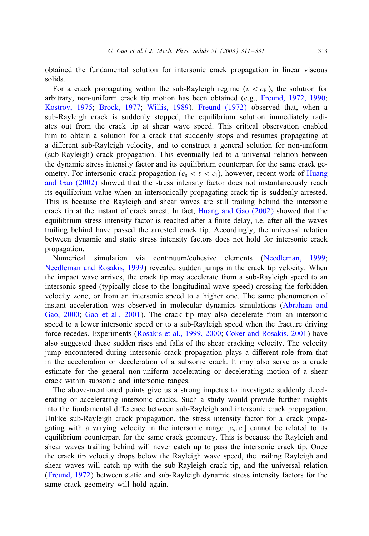obtained the fundamental solution for intersonic crack propagation in linear viscous solids.

For a crack propagating within the sub-Rayleigh regime ( $v < c<sub>R</sub>$ ), the solution for arbitrary, non-uniform crack tip motion has been obtained (e.g., [Freund, 1972, 1990;](#page-19-0) [Kostrov, 1975;](#page-19-0) [Brock, 1977;](#page-19-0) [Willis, 1989\)](#page-20-0). [Freund \(1972\)](#page-19-0) observed that, when a sub-Rayleigh crack is suddenly stopped, the equilibrium solution immediately radiates out from the crack tip at shear wave speed. This critical observation enabled him to obtain a solution for a crack that suddenly stops and resumes propagating at a different sub-Rayleigh velocity, and to construct a general solution for non-uniform (sub-Rayleigh) crack propagation. This eventually led to a universal relation between the dynamic stress intensity factor and its equilibrium counterpart for the same crack geometry. For intersonic crack propagation ( $c_s < v < c_l$ ), however, recent work of [Huang](#page-19-0) [and Gao \(2002\)](#page-19-0) showed that the stress intensity factor does not instantaneously reach its equilibrium value when an intersonically propagating crack tip is suddenly arrested. This is because the Rayleigh and shear waves are still trailing behind the intersonic crack tip at the instant of crack arrest. In fact, [Huang and Gao \(2002\)](#page-19-0) showed that the equilibrium stress intensity factor is reached after a finite delay, i.e. after all the waves trailing behind have passed the arrested crack tip. Accordingly, the universal relation between dynamic and static stress intensity factors does not hold for intersonic crack propagation.

Numerical simulation via continuum/cohesive elements [\(Needleman, 1999;](#page-19-0) [Needleman and Rosakis, 1999\)](#page-19-0) revealed sudden jumps in the crack tip velocity. When the impact wave arrives, the crack tip may accelerate from a sub-Rayleigh speed to an intersonic speed (typically close to the longitudinal wave speed) crossing the forbidden velocity zone, or from an intersonic speed to a higher one. The same phenomenon of instant acceleration was observed in molecular dynamics simulations [\(Abraham and](#page-19-0) [Gao, 2000;](#page-19-0) [Gao et al., 2001\)](#page-19-0). The crack tip may also decelerate from an intersonic speed to a lower intersonic speed or to a sub-Rayleigh speed when the fracture driving force recedes. Experiments [\(Rosakis et al., 1999, 2000;](#page-19-0) [Coker and Rosakis, 2001\)](#page-19-0) have also suggested these sudden rises and falls of the shear cracking velocity. The velocity jump encountered during intersonic crack propagation plays a different role from that in the acceleration or deceleration of a subsonic crack. It may also serve as a crude estimate for the general non-uniform accelerating or decelerating motion of a shear crack within subsonic and intersonic ranges.

The above-mentioned points give us a strong impetus to investigate suddenly decelerating or accelerating intersonic cracks. Such a study would provide further insights into the fundamental difference between sub-Rayleigh and intersonic crack propagation. Unlike sub-Rayleigh crack propagation, the stress intensity factor for a crack propagating with a varying velocity in the intersonic range  $[c_s, c_l]$  cannot be related to its equilibrium counterpart for the same crack geometry. This is because the Rayleigh and shear waves trailing behind will never catch up to pass the intersonic crack tip. Once the crack tip velocity drops below the Rayleigh wave speed, the trailing Rayleigh and shear waves will catch up with the sub-Rayleigh crack tip, and the universal relation [\(Freund, 1972\)](#page-19-0) between static and sub-Rayleigh dynamic stress intensity factors for the same crack geometry will hold again.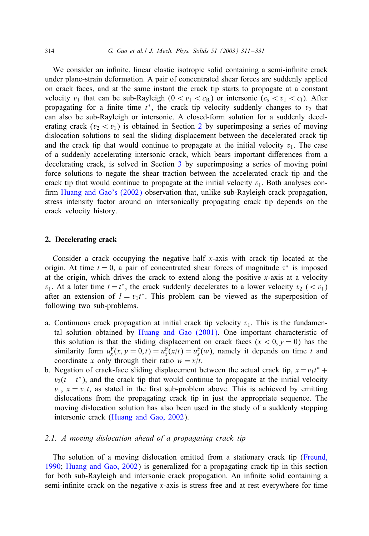<span id="page-3-0"></span>We consider an infinite, linear elastic isotropic solid containing a semi-infinite crack under plane-strain deformation. A pair of concentrated shear forces are suddenly applied on crack faces, and at the same instant the crack tip starts to propagate at a constant velocity  $v_1$  that can be sub-Rayleigh  $(0 < v_1 < c_R)$  or intersonic  $(c_s < v_1 < c_l)$ . After propagating for a finite time  $t^*$ , the crack tip velocity suddenly changes to  $v_2$  that can also be sub-Rayleigh or intersonic. A closed-form solution for a suddenly decelerating crack ( $v_2 < v_1$ ) is obtained in Section 2 by superimposing a series of moving dislocation solutions to seal the sliding displacement between the decelerated crack tip and the crack tip that would continue to propagate at the initial velocity  $v_1$ . The case of a suddenly accelerating intersonic crack, which bears important differences from a decelerating crack, is solved in Section [3](#page-12-0) by superimposing a series of moving point force solutions to negate the shear traction between the accelerated crack tip and the crack tip that would continue to propagate at the initial velocity  $v_1$ . Both analyses con-firm [Huang and Gao's \(2002\)](#page-19-0) observation that, unlike sub-Rayleigh crack propagation, stress intensity factor around an intersonically propagating crack tip depends on the crack velocity history.

# 2. Decelerating crack

Consider a crack occupying the negative half x-axis with crack tip located at the origin. At time  $t = 0$ , a pair of concentrated shear forces of magnitude  $\tau^*$  is imposed at the origin, which drives the crack to extend along the positive x-axis at a velocity  $v_1$ . At a later time  $t = t^*$ , the crack suddenly decelerates to a lower velocity  $v_2$  (<  $v_1$ ) after an extension of  $l = v_1 t^*$ . This problem can be viewed as the superposition of following two sub-problems.

- a. Continuous crack propagation at initial crack tip velocity  $v_1$ . This is the fundamental solution obtained by [Huang and Gao \(2001\).](#page-19-0) One important characteristic of this solution is that the sliding displacement on crack faces  $(x < 0, y = 0)$  has the similarity form  $u_x^F(x, y = 0, t) = u_x^F(x/t) = u_x^F(w)$ , namely it depends on time t and coordinate x only through their ratio  $w = x/t$ .
- b. Negation of crack-face sliding displacement between the actual crack tip,  $x = v_1 t^*$  +  $v_2(t - t^*)$ , and the crack tip that would continue to propagate at the initial velocity  $v_1$ ,  $x = v_1t$ , as stated in the first sub-problem above. This is achieved by emitting dislocations from the propagating crack tip in just the appropriate sequence. The moving dislocation solution has also been used in the study of a suddenly stopping intersonic crack [\(Huang and Gao, 2002\)](#page-19-0).

# *2.1. A moving dislocation ahead of a propagating crack tip*

The solution of a moving dislocation emitted from a stationary crack tip [\(Freund,](#page-19-0) [1990;](#page-19-0) [Huang and Gao, 2002\)](#page-19-0) is generalized for a propagating crack tip in this section for both sub-Rayleigh and intersonic crack propagation. An infinite solid containing a semi-infinite crack on the negative  $x$ -axis is stress free and at rest everywhere for time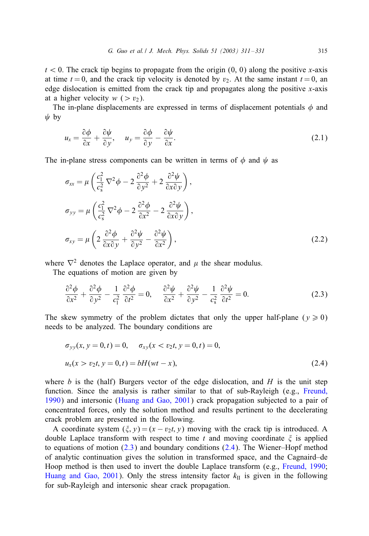$t < 0$ . The crack tip begins to propagate from the origin (0, 0) along the positive x-axis at time  $t = 0$ , and the crack tip velocity is denoted by  $v_2$ . At the same instant  $t = 0$ , an edge dislocation is emitted from the crack tip and propagates along the positive  $x$ -axis at a higher velocity  $w$  ( $> v_2$ ).

The in-plane displacements are expressed in terms of displacement potentials  $\phi$  and  $\psi$  by

$$
u_x = \frac{\partial \phi}{\partial x} + \frac{\partial \psi}{\partial y}, \quad u_y = \frac{\partial \phi}{\partial y} - \frac{\partial \psi}{\partial x}.
$$
 (2.1)

The in-plane stress components can be written in terms of  $\phi$  and  $\psi$  as

$$
\sigma_{xx} = \mu \left( \frac{c_1^2}{c_s^2} \nabla^2 \phi - 2 \frac{\partial^2 \phi}{\partial y^2} + 2 \frac{\partial^2 \psi}{\partial x \partial y} \right),
$$
  
\n
$$
\sigma_{yy} = \mu \left( \frac{c_1^2}{c_s^2} \nabla^2 \phi - 2 \frac{\partial^2 \phi}{\partial x^2} - 2 \frac{\partial^2 \psi}{\partial x \partial y} \right),
$$
  
\n
$$
\sigma_{xy} = \mu \left( 2 \frac{\partial^2 \phi}{\partial x \partial y} + \frac{\partial^2 \psi}{\partial y^2} - \frac{\partial^2 \psi}{\partial x^2} \right),
$$
\n(2.2)

where  $\nabla^2$  denotes the Laplace operator, and  $\mu$  the shear modulus.

The equations of motion are given by

$$
\frac{\partial^2 \phi}{\partial x^2} + \frac{\partial^2 \phi}{\partial y^2} - \frac{1}{c_1^2} \frac{\partial^2 \phi}{\partial t^2} = 0, \quad \frac{\partial^2 \psi}{\partial x^2} + \frac{\partial^2 \psi}{\partial y^2} - \frac{1}{c_s^2} \frac{\partial^2 \psi}{\partial t^2} = 0.
$$
 (2.3)

The skew symmetry of the problem dictates that only the upper half-plane ( $v \ge 0$ ) needs to be analyzed. The boundary conditions are

$$
\sigma_{yy}(x, y = 0, t) = 0, \quad \sigma_{xy}(x < v_2t, y = 0, t) = 0,
$$
\n
$$
u_x(x > v_2t, y = 0, t) = bH(wt - x), \tag{2.4}
$$

where b is the (half) Burgers vector of the edge dislocation, and  $H$  is the unit step function. Since the analysis is rather similar to that of sub-Rayleigh (e.g., [Freund,](#page-19-0) [1990\)](#page-19-0) and intersonic [\(Huang and Gao, 2001\)](#page-19-0) crack propagation subjected to a pair of concentrated forces, only the solution method and results pertinent to the decelerating crack problem are presented in the following.

A coordinate system  $(\xi, y) = (x - v_2t, y)$  moving with the crack tip is introduced. A double Laplace transform with respect to time t and moving coordinate  $\xi$  is applied to equations of motion  $(2.3)$  and boundary conditions  $(2.4)$ . The Wiener–Hopf method of analytic continuation gives the solution in transformed space, and the Cagnaird–de Hoop method is then used to invert the double Laplace transform (e.g., [Freund, 1990;](#page-19-0) [Huang and Gao, 2001\)](#page-19-0). Only the stress intensity factor  $k_{II}$  is given in the following for sub-Rayleigh and intersonic shear crack propagation.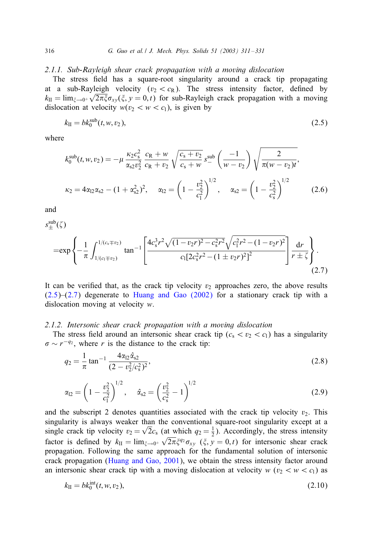#### <span id="page-5-0"></span>*2.1.1. Sub-Rayleigh shear crack propagation with a moving dislocation*

The stress field has a square-root singularity around a crack tip propagating at a sub-Rayleigh velocity ( $v_2 < c_R$ ). The stress intensity factor, defined by  $k_{\text{II}} = \lim_{\xi \to 0^+} \sqrt{2\pi \xi} \sigma_{xy}(\xi, y = 0, t)$  for sub-Rayleigh crack propagation with a moving dislocation at velocity  $w(v_2 < w < c_1)$ , is given by

$$
k_{\rm II} = bk_0^{\rm sub}(t, w, v_2),\tag{2.5}
$$

where

$$
k_0^{\text{sub}}(t, w, v_2) = -\mu \frac{\kappa_2 c_s^2}{\alpha_{s2} v_2^2} \frac{c_R + w}{c_R + v_2} \sqrt{\frac{c_s + v_2}{c_s + w}} s_-^{\text{sub}} \left( \frac{-1}{w - v_2} \right) \sqrt{\frac{2}{\pi (w - v_2)t}},
$$
  

$$
\kappa_2 = 4\alpha_{12} \alpha_{s2} - (1 + \alpha_{s2}^2)^2, \quad \alpha_{12} = \left( 1 - \frac{v_2^2}{c_1^2} \right)^{1/2}, \quad \alpha_{s2} = \left( 1 - \frac{v_2^2}{c_s^2} \right)^{1/2}
$$
(2.6)

and

$$
s_{\pm}^{\text{sub}}(\zeta)
$$
\n
$$
= \exp\left\{-\frac{1}{\pi} \int_{1/(c_1 \mp v_2)}^{1/(c_s \mp v_2)} \tan^{-1} \left[\frac{4c_s^3 r^2 \sqrt{(1 - v_2 r)^2 - c_s^2 r^2} \sqrt{c_1^2 r^2 - (1 - v_2 r)^2}}{c_1 [2c_s^2 r^2 - (1 \pm v_2 r)^2]^2}\right] \frac{dr}{r \pm \zeta}\right\}.
$$
\n(2.7)

It can be verified that, as the crack tip velocity  $v_2$  approaches zero, the above results  $(2.5)$ – $(2.7)$  degenerate to Huang and Gao  $(2002)$  for a stationary crack tip with a dislocation moving at velocity w.

## *2.1.2. Intersonic shear crack propagation with a moving dislocation*

The stress field around an intersonic shear crack tip  $(c_s < v_2 < c_l)$  has a singularity  $\sigma \sim r^{-q_2}$ , where r is the distance to the crack tip:

$$
q_2 = \frac{1}{\pi} \tan^{-1} \frac{4\alpha_{12}\hat{\alpha}_{s2}}{(2 - v_2^2/c_s^2)^2},
$$
\n(2.8)

$$
\alpha_{12} = \left(1 - \frac{v_2^2}{c_1^2}\right)^{1/2}, \quad \hat{\alpha}_{s2} = \left(\frac{v_2^2}{c_s^2} - 1\right)^{1/2} \tag{2.9}
$$

and the subscript 2 denotes quantities associated with the crack tip velocity  $v_2$ . This singularity is always weaker than the conventional square-root singularity except at a single crack tip velocity  $v_2 = \sqrt{2}c_s$  (at which  $q_2 = \frac{1}{2}$ ). Accordingly, the stress intensity factor is defined by  $k_{\text{II}} = \lim_{\xi \to 0^+} \sqrt{2\pi} \xi^{q_2} \sigma_{xy}$  ( $\xi, y = 0, t$ ) for intersonic shear crack propagation. Following the same approach for the fundamental solution of intersonic crack propagation [\(Huang and Gao, 2001\)](#page-19-0), we obtain the stress intensity factor around an intersonic shear crack tip with a moving dislocation at velocity  $w$  ( $v_2 < w < c_1$ ) as

$$
k_{\rm II} = bk_0^{\rm int}(t, w, v_2), \tag{2.10}
$$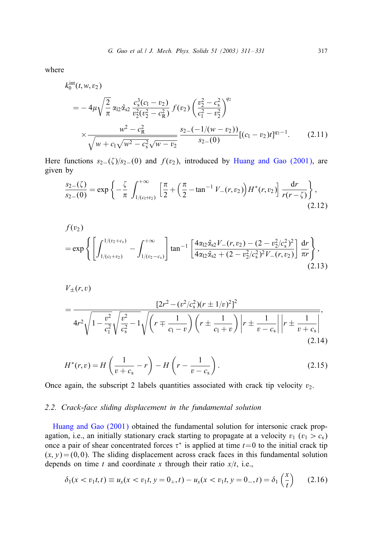<span id="page-6-0"></span>where

$$
k_0^{\text{int}}(t, w, v_2)
$$
  
=  $-4\mu \sqrt{\frac{2}{\pi}} \alpha_{12} \hat{\alpha}_{s2} \frac{c_s^3(c_1 - v_2)}{v_2^2(v_2^2 - c_R^2)} f(v_2) \left(\frac{v_2^2 - c_s^2}{c_1^2 - v_2^2}\right)^{q_2}$   
 $\times \frac{w^2 - c_R^2}{\sqrt{w + c_1 \sqrt{w^2 - c_s^2} \sqrt{w - v_2}}} \frac{s_2 - (-1/(w - v_2))}{s_2 - (0)} [(c_1 - v_2)t]^{q_2 - 1}.$  (2.11)

Here functions  $s_{2-}(\zeta)/s_{2-}(0)$  and  $f(v_2)$ , introduced by [Huang and Gao \(2001\),](#page-19-0) are given by

$$
\frac{s_{2-}(\zeta)}{s_{2-}(0)} = \exp\left\{-\frac{\zeta}{\pi} \int_{1/(c_1+c_2)}^{+\infty} \left[\frac{\pi}{2} + \left(\frac{\pi}{2} - \tan^{-1} V_{-}(r, v_2)\right) H^*(r, v_2)\right] \frac{dr}{r(r-\zeta)}\right\},\tag{2.12}
$$

$$
f(v_2)
$$
  
= exp  $\left\{ \left[ \int_{1/(c_1+v_2)}^{1/(v_2+c_s)} - \int_{1/(v_2-c_s)}^{+\infty} \right] \tan^{-1} \left[ \frac{4\alpha_{12}\hat{\alpha}_{s2}V_{-}(r,v_2) - (2-v_2^2/c_s^2)^2}{4\alpha_{12}\hat{\alpha}_{s2} + (2-v_2^2/c_s^2)^2V_{-}(r,v_2)} \right] \frac{dr}{\pi r} \right\},$ \n(2.13)

$$
V_{\pm}(r,v)
$$
\n
$$
= \frac{[2r^2 - (v^2/c_s^2)(r \pm 1/v)^2]^2}{4r^2\sqrt{1 - \frac{v^2}{c_1^2}}\sqrt{\frac{v^2}{c_s^2} - 1}\sqrt{\left(r \mp \frac{1}{c_1 - v}\right)\left(r \pm \frac{1}{c_1 + v}\right)}\Big| r \pm \frac{1}{v - c_s}\Big|\Big| r \pm \frac{1}{v + c_s}\Big|},\tag{2.14}
$$

$$
H^*(r, v) = H\left(\frac{1}{v + c_s} - r\right) - H\left(r - \frac{1}{v - c_s}\right).
$$
 (2.15)

Once again, the subscript 2 labels quantities associated with crack tip velocity  $v_2$ .

# *2.2. Crack-face sliding displacement in the fundamental solution*

[Huang and Gao \(2001\)](#page-19-0) obtained the fundamental solution for intersonic crack propagation, i.e., an initially stationary crack starting to propagate at a velocity  $v_1$  ( $v_1 > c_s$ ) once a pair of shear concentrated forces  $\tau^*$  is applied at time  $t=0$  to the initial crack tip  $(x, y) = (0, 0)$ . The sliding displacement across crack faces in this fundamental solution depends on time t and coordinate x through their ratio  $x/t$ , i.e.,

$$
\delta_1(x < v_1 t, t) \equiv u_x(x < v_1 t, y = 0_+, t) - u_x(x < v_1 t, y = 0_-, t) = \delta_1\left(\frac{x}{t}\right) \tag{2.16}
$$

 $x \sim x$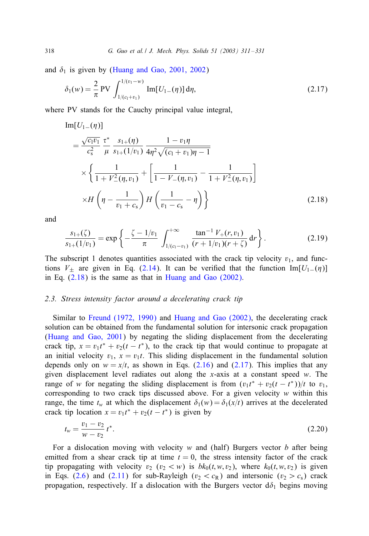and  $\delta_1$  is given by [\(Huang and Gao, 2001, 2002\)](#page-19-0)

$$
\delta_1(w) = \frac{2}{\pi} \text{PV} \int_{1/(c_1+v_1)}^{1/(v_1-w)} \text{Im}[U_{1-}(\eta)] \, \text{d}\eta,
$$
\n(2.17)

where PV stands for the Cauchy principal value integral,

Im[U<sub>1</sub>-(
$$
\eta
$$
)]  
\n= $\frac{\sqrt{c_1v_1}}{c_s^2} \frac{\tau^*}{\mu} \frac{s_{1+}(\eta)}{s_{1+}(1/v_1)} \frac{1-v_1\eta}{4\eta^2 \sqrt{(c_1+v_1)\eta-1}}$   
\n $\times \left\{ \frac{1}{1+V_-^2(\eta,v_1)} + \left[ \frac{1}{1-V_-(\eta,v_1)} - \frac{1}{1+V_-^2(\eta,v_1)} \right] \right\}$   
\n $\times H\left(\eta - \frac{1}{v_1+c_s}\right) H\left(\frac{1}{v_1-c_s} - \eta\right) \right\}$  (2.18)

and

$$
\frac{s_{1+}(\zeta)}{s_{1+}(1/v_1)} = \exp\left\{-\frac{\zeta - 1/v_1}{\pi} \int_{1/(c_1 - v_1)}^{+\infty} \frac{\tan^{-1} V_+(r, v_1)}{(r + 1/v_1)(r + \zeta)} dr\right\}.
$$
\n(2.19)

The subscript 1 denotes quantities associated with the crack tip velocity  $v_1$ , and functions  $V_{\pm}$  are given in Eq. [\(2.14\)](#page-6-0). It can be verified that the function Im[ $U_{1-}(\eta)$ ] in Eq. (2.18) is the same as that in [Huang and Gao \(2002\).](#page-19-0)

## 2.3. Stress intensity factor around a decelerating crack tip

Similar to [Freund \(1972, 1990\)](#page-19-0) and [Huang and Gao \(2002\),](#page-19-0) the decelerating crack solution can be obtained from the fundamental solution for intersonic crack propagation [\(Huang and Gao, 2001\)](#page-19-0) by negating the sliding displacement from the decelerating crack tip,  $x = v_1 t^* + v_2(t - t^*)$ , to the crack tip that would continue to propagate at an initial velocity  $v_1$ ,  $x = v_1t$ . This sliding displacement in the fundamental solution depends only on  $w = x/t$ , as shown in Eqs. [\(2.16\)](#page-6-0) and (2.17). This implies that any given displacement level radiates out along the  $x$ -axis at a constant speed  $w$ . The range of w for negating the sliding displacement is from  $(v_1t^* + v_2(t - t^*))/t$  to  $v_1$ , corresponding to two crack tips discussed above. For a given velocity  $w$  within this range, the time  $t_w$  at which the displacement  $\delta_1(w) = \delta_1(x/t)$  arrives at the decelerated crack tip location  $x = v_1 t^* + v_2(t - t^*)$  is given by

$$
t_w = \frac{v_1 - v_2}{w - v_2} t^*.
$$
\n(2.20)

For a dislocation moving with velocity  $w$  and (half) Burgers vector  $b$  after being emitted from a shear crack tip at time  $t = 0$ , the stress intensity factor of the crack tip propagating with velocity  $v_2$  ( $v_2 < w$ ) is  $bk_0(t, w, v_2)$ , where  $k_0(t, w, v_2)$  is given in Eqs. [\(2.6\)](#page-5-0) and [\(2.11\)](#page-6-0) for sub-Rayleigh ( $v_2 < c_R$ ) and intersonic ( $v_2 > c_s$ ) crack propagation, respectively. If a dislocation with the Burgers vector  $d\delta_1$  begins moving

<span id="page-7-0"></span>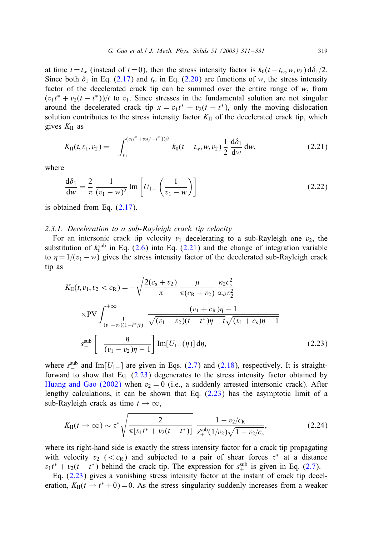<span id="page-8-0"></span>at time  $t = t_w$  (instead of  $t = 0$ ), then the stress intensity factor is  $k_0(t - t_w, w, v_2) d\delta_1/2$ . Since both  $\delta_1$  in Eq. [\(2.17\)](#page-7-0) and  $t_w$  in Eq. [\(2.20\)](#page-7-0) are functions of w, the stress intensity factor of the decelerated crack tip can be summed over the entire range of  $w$ , from  $(v_1t^* + v_2(t - t^*))/t$  to  $v_1$ . Since stresses in the fundamental solution are not singular around the decelerated crack tip  $x = v_1 t^* + v_2(t - t^*)$ , only the moving dislocation solution contributes to the stress intensity factor  $K_{II}$  of the decelerated crack tip, which gives  $K<sub>II</sub>$  as

$$
K_{\text{II}}(t, v_1, v_2) = -\int_{v_1}^{(v_1 t^* + v_2 (t - t^*))/t} k_0 (t - t_w, w, v_2) \frac{1}{2} \frac{d\delta_1}{dw} dw,
$$
\n(2.21)

where

$$
\frac{d\delta_1}{dw} = \frac{2}{\pi} \frac{1}{(v_1 - w)^2} \operatorname{Im} \left[ U_1 - \left( \frac{1}{v_1 - w} \right) \right]
$$
 (2.22)

is obtained from Eq. [\(2.17\)](#page-7-0).

# *2.3.1. Deceleration to a sub-Rayleigh crack tip velocity*

For an intersonic crack tip velocity  $v_1$  decelerating to a sub-Rayleigh one  $v_2$ , the substitution of  $k_0^{\text{sub}}$  in Eq. [\(2.6\)](#page-5-0) into Eq. (2.21) and the change of integration variable to  $\eta = 1/(v_1 - w)$  gives the stress intensity factor of the decelerated sub-Rayleigh crack tip as

$$
K_{\text{II}}(t, v_1, v_2 < c_{\text{R}}) = -\sqrt{\frac{2(c_{\text{s}} + v_2)}{\pi}} \frac{\mu}{\pi (c_{\text{R}} + v_2)} \frac{\kappa_2 c_{\text{s}}^2}{\alpha_{s2} v_2^2}
$$
\n
$$
\times \text{PV} \int_{\frac{1}{(v_1 - v_2)(1 - t^*)t}}^{+\infty} \frac{(v_1 + c_{\text{R}})\eta - 1}{\sqrt{(v_1 - v_2)(t - t^*)\eta - t}\sqrt{(v_1 + c_{\text{s}})\eta - 1}}
$$
\n
$$
s_{-}^{\text{sub}} \left[ -\frac{\eta}{(v_1 - v_2)\eta - 1} \right] \text{Im}[U_{1-}(\eta)] \, \text{d}\eta, \tag{2.23}
$$

where  $s_{-}^{\text{sub}}$  and Im[U<sub>1</sub>−] are given in Eqs. [\(2.7\)](#page-5-0) and [\(2.18\)](#page-7-0), respectively. It is straightforward to show that Eq. (2.23) degenerates to the stress intensity factor obtained by [Huang and Gao \(2002\)](#page-19-0) when  $v_2 = 0$  (i.e., a suddenly arrested intersonic crack). After lengthy calculations, it can be shown that Eq. (2.23) has the asymptotic limit of a sub-Rayleigh crack as time  $t \to \infty$ ,

$$
K_{\rm II}(t\to\infty)\sim \tau^*\sqrt{\frac{2}{\pi[v_1t^*+v_2(t-t^*)]}}\frac{1-v_2/c_{\rm R}}{s_+^{\rm sub}(1/v_2)\sqrt{1-v_2/c_{\rm S}}},\qquad\qquad(2.24)
$$

where its right-hand side is exactly the stress intensity factor for a crack tip propagating with velocity  $v_2$  (<  $c_R$ ) and subjected to a pair of shear forces  $\tau^*$  at a distance  $v_1t^* + v_2(t - t^*)$  behind the crack tip. The expression for  $s_+^{\text{sub}}$  is given in Eq. [\(2.7\)](#page-5-0).

Eq.  $(2.23)$  gives a vanishing stress intensity factor at the instant of crack tip deceleration,  $K_{\text{II}}(t \rightarrow t^* + 0) = 0$ . As the stress singularity suddenly increases from a weaker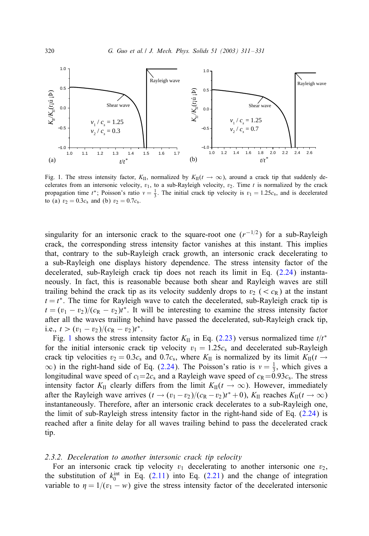<span id="page-9-0"></span>

Fig. 1. The stress intensity factor,  $K_{II}$ , normalized by  $K_{II}(t \to \infty)$ , around a crack tip that suddenly decelerates from an intersonic velocity,  $v_1$ , to a sub-Rayleigh velocity,  $v_2$ . Time t is normalized by the crack propagation time  $t^*$ ; Poisson's ratio  $v = \frac{1}{3}$ . The initial crack tip velocity is  $v_1 = 1.25c_s$ , and is decelerated to (a)  $v_2 = 0.3c_s$  and (b)  $v_2 = 0.7c_s$ .

singularity for an intersonic crack to the square-root one  $(r^{-1/2})$  for a sub-Rayleigh crack, the corresponding stress intensity factor vanishes at this instant. This implies that, contrary to the sub-Rayleigh crack growth, an intersonic crack decelerating to a sub-Rayleigh one displays history dependence. The stress intensity factor of the decelerated, sub-Rayleigh crack tip does not reach its limit in Eq. [\(2.24\)](#page-8-0) instantaneously. In fact, this is reasonable because both shear and Rayleigh waves are still trailing behind the crack tip as its velocity suddenly drops to  $v_2 \, \langle \, \langle c_R \rangle$  at the instant  $t = t^*$ . The time for Rayleigh wave to catch the decelerated, sub-Rayleigh crack tip is  $t = (v_1 - v_2)/(c_R - v_2)t^*$ . It will be interesting to examine the stress intensity factor after all the waves trailing behind have passed the decelerated, sub-Rayleigh crack tip, i.e.,  $t > (v_1 - v_2)/(c_R - v_2)t^*$ .

Fig. 1 shows the stress intensity factor  $K_{II}$  in Eq. [\(2.23\)](#page-8-0) versus normalized time  $t/t^*$ for the initial intersonic crack tip velocity  $v_1 = 1.25c_s$  and decelerated sub-Rayleigh crack tip velocities  $v_2 = 0.3c_s$  and  $0.7c_s$ , where  $K_{II}$  is normalized by its limit  $K_{II}(t \rightarrow$  $\infty$ ) in the right-hand side of Eq. [\(2.24\)](#page-8-0). The Poisson's ratio is  $v = \frac{1}{3}$ , which gives a longitudinal wave speed of  $c_1=2c_s$  and a Rayleigh wave speed of  $c_R=0.93c_s$ . The stress intensity factor  $K_{II}$  clearly differs from the limit  $K_{II}(t \to \infty)$ . However, immediately after the Rayleigh wave arrives  $(t \to (v_1 - v_2)/(c_R - v_2)t^* + 0)$ ,  $K_{II}$  reaches  $K_{II}(t \to \infty)$ instantaneously. Therefore, after an intersonic crack decelerates to a sub-Rayleigh one, the limit of sub-Rayleigh stress intensity factor in the right-hand side of Eq. [\(2.24\)](#page-8-0) is reached after a finite delay for all waves trailing behind to pass the decelerated crack tip.

## *2.3.2. Deceleration to another intersonic crack tip velocity*

For an intersonic crack tip velocity  $v_1$  decelerating to another intersonic one  $v_2$ , the substitution of  $k_0^{\text{int}}$  in Eq. [\(2.11\)](#page-6-0) into Eq. [\(2.21\)](#page-8-0) and the change of integration variable to  $\eta = 1/(v_1 - w)$  give the stress intensity factor of the decelerated intersonic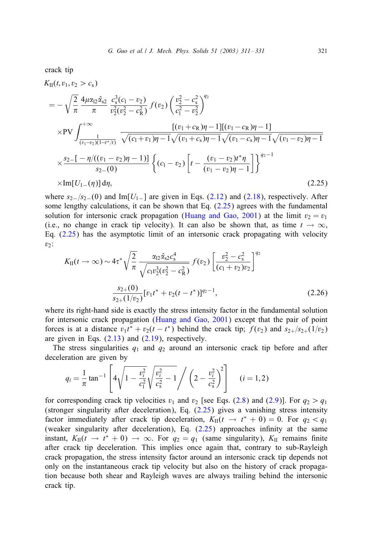<span id="page-10-0"></span>crack tip

$$
K_{II}(t, v_1, v_2 > c_s)
$$
\n
$$
= -\sqrt{\frac{2}{\pi}} \frac{4\mu \alpha_{12} \hat{\alpha}_{s2}}{\pi} \frac{c_s^3 (c_1 - v_2)}{v_2^2 (v_2^2 - c_R^2)} f(v_2) \left(\frac{v_2^2 - c_s^2}{c_1^2 - v_2^2}\right)^{q_2}
$$
\n
$$
\times \text{PV} \int_{\frac{1}{(v_1 - v_2)(1 - t^*/t)}}^{\frac{1}{(v_1 - v_2)(1 - t^*/t)}} \frac{[(v_1 + c_R)\eta - 1][(v_1 - c_R)\eta - 1]}{\sqrt{(v_1 + v_2)\eta - 1}\sqrt{(v_1 + v_s)\eta - 1}\sqrt{(v_1 - v_s)\eta - 1}\sqrt{(v_1 - v_2)\eta - 1}}
$$
\n
$$
\times \frac{s_2 - [-\eta/((v_1 - v_2)\eta - 1)]}{s_2 - (0)} \left\{ (c_1 - v_2) \left[ t - \frac{(v_1 - v_2)t^*\eta}{(v_1 - v_2)\eta - 1} \right] \right\}^{q_2 - 1}
$$
\n
$$
\times \text{Im}[U_{1-}(\eta)] d\eta,
$$
\n(2.25)

where  $s_{2-}/s_{2-}(0)$  and Im[U<sub>1</sub>−] are given in Eqs. [\(2.12\)](#page-6-0) and [\(2.18\)](#page-7-0), respectively. After some lengthy calculations, it can be shown that Eq.  $(2.25)$  agrees with the fundamental solution for intersonic crack propagation [\(Huang and Gao, 2001\)](#page-19-0) at the limit  $v_2 = v_1$ (i.e., no change in crack tip velocity). It can also be shown that, as time  $t \to \infty$ , Eq. (2.25) has the asymptotic limit of an intersonic crack propagating with velocity  $v_2$ :

$$
K_{\rm II}(t \to \infty) \sim 4\tau^* \sqrt{\frac{2}{\pi}} \frac{\alpha_{12} \hat{\alpha}_{s2} c_s^4}{\sqrt{c_1 v_2^3 (v_2^2 - c_R^2)}} f(v_2) \left[ \frac{v_2^2 - c_s^2}{(c_1 + v_2)v_2} \right]^{q_2}
$$

$$
\frac{s_{2+}(0)}{s_{2+}(1/v_2)} [v_1 t^* + v_2 (t - t^*)]^{q_2 - 1}, \tag{2.26}
$$

where its right-hand side is exactly the stress intensity factor in the fundamental solution for intersonic crack propagation [\(Huang and Gao, 2001\)](#page-19-0) except that the pair of point forces is at a distance  $v_1t^* + v_2(t - t^*)$  behind the crack tip;  $f(v_2)$  and  $s_{2+}/s_{2+}(1/v_2)$ are given in Eqs.  $(2.13)$  and  $(2.19)$ , respectively.

The stress singularities  $q_1$  and  $q_2$  around an intersonic crack tip before and after deceleration are given by

$$
q_i = \frac{1}{\pi} \tan^{-1} \left[ 4\sqrt{1 - \frac{v_i^2}{c_1^2}} \sqrt{\frac{v_i^2}{c_s^2} - 1} \right/ \left( 2 - \frac{v_i^2}{c_s^2} \right)^2 \right] \quad (i = 1, 2)
$$

for corresponding crack tip velocities  $v_1$  and  $v_2$  [see Eqs. [\(2.8\)](#page-5-0) and [\(2.9\)](#page-5-0)]. For  $q_2 > q_1$ (stronger singularity after deceleration), Eq. (2.25) gives a vanishing stress intensity factor immediately after crack tip deceleration,  $K_{II}(t \rightarrow t^* + 0) = 0$ . For  $q_2 < q_1$ (weaker singularity after deceleration), Eq.  $(2.25)$  approaches infinity at the same instant,  $K_{II}(t \to t^* + 0) \to \infty$ . For  $q_2 = q_1$  (same singularity),  $K_{II}$  remains finite after crack tip deceleration. This implies once again that, contrary to sub-Rayleigh crack propagation, the stress intensity factor around an intersonic crack tip depends not only on the instantaneous crack tip velocity but also on the history of crack propagation because both shear and Rayleigh waves are always trailing behind the intersonic crack tip.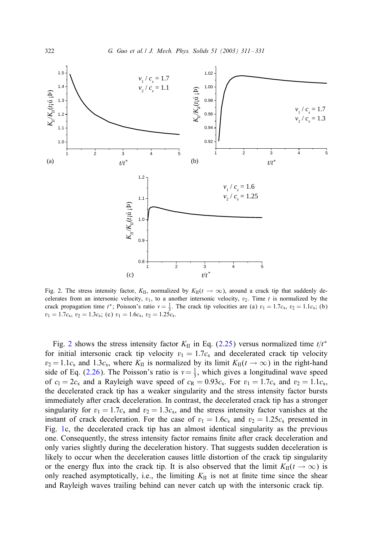

Fig. 2. The stress intensity factor,  $K_{II}$ , normalized by  $K_{II}(t \to \infty)$ , around a crack tip that suddenly decelerates from an intersonic velocity,  $v_1$ , to a another intersonic velocity,  $v_2$ . Time t is normalized by the crack propagation time  $t^*$ ; Poisson's ratio  $v = \frac{1}{3}$ . The crack tip velocities are (a)  $v_1 = 1.7c_s$ ,  $v_2 = 1.1c_s$ ; (b)  $v_1 = 1.7c_s$ ,  $v_2 = 1.3c_s$ ; (c)  $v_1 = 1.6c_s$ ,  $v_2 = 1.25c_s$ .

Fig. 2 shows the stress intensity factor  $K_{II}$  in Eq. [\(2.25\)](#page-10-0) versus normalized time  $t/t^*$ for initial intersonic crack tip velocity  $v_1 = 1.7c_s$  and decelerated crack tip velocity  $v_2 = 1.1c_s$  and 1.3c<sub>s</sub>, where K<sub>II</sub> is normalized by its limit K<sub>II</sub>( $t \to \infty$ ) in the right-hand side of Eq. [\(2.26\)](#page-10-0). The Poisson's ratio is  $v = \frac{1}{3}$ , which gives a longitudinal wave speed of  $c_1 = 2c_s$  and a Rayleigh wave speed of  $c_R = 0.93c_s$ . For  $v_1 = 1.7c_s$  and  $v_2 = 1.1c_s$ , the decelerated crack tip has a weaker singularity and the stress intensity factor bursts immediately after crack deceleration. In contrast, the decelerated crack tip has a stronger singularity for  $v_1 = 1.7c_s$  and  $v_2 = 1.3c_s$ , and the stress intensity factor vanishes at the instant of crack deceleration. For the case of  $v_1 = 1.6c_s$  and  $v_2 = 1.25c_s$  presented in Fig. [1c](#page-9-0), the decelerated crack tip has an almost identical singularity as the previous one. Consequently, the stress intensity factor remains 5nite after crack deceleration and only varies slightly during the deceleration history. That suggests sudden deceleration is likely to occur when the deceleration causes little distortion of the crack tip singularity or the energy flux into the crack tip. It is also observed that the limit  $K_{\text{II}}(t \to \infty)$  is only reached asymptotically, i.e., the limiting  $K_{II}$  is not at finite time since the shear and Rayleigh waves trailing behind can never catch up with the intersonic crack tip.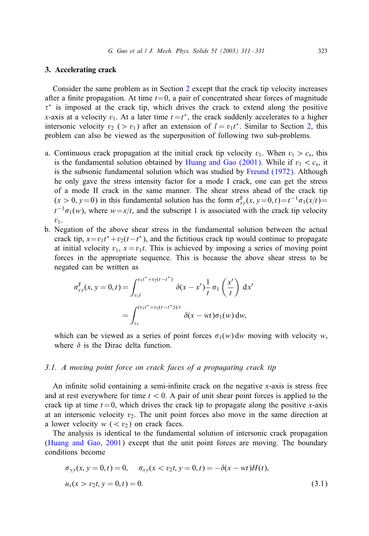## <span id="page-12-0"></span>3. Accelerating crack

Consider the same problem as in Section [2](#page-3-0) except that the crack tip velocity increases after a finite propagation. At time  $t=0$ , a pair of concentrated shear forces of magnitude  $\tau^*$  is imposed at the crack tip, which drives the crack to extend along the positive x-axis at a velocity  $v_1$ . At a later time  $t = t^*$ , the crack suddenly accelerates to a higher intersonic velocity  $v_2$  (>  $v_1$ ) after an extension of  $l = v_1 t^*$ . Similar to Section [2,](#page-3-0) this problem can also be viewed as the superposition of following two sub-problems.

- a. Continuous crack propagation at the initial crack tip velocity  $v_1$ . When  $v_1 > c_s$ , this is the fundamental solution obtained by [Huang and Gao \(2001\).](#page-19-0) While if  $v_1 < c_s$ , it is the subsonic fundamental solution which was studied by [Freund \(1972\).](#page-19-0) Although he only gave the stress intensity factor for a mode I crack, one can get the stress of a mode II crack in the same manner. The shear stress ahead of the crack tip  $(x > 0, y=0)$  in this fundamental solution has the form  $\sigma_{xy}^F(x, y=0, t) = t^{-1}\sigma_1(x/t)$  $t^{-1}\sigma_1(w)$ , where  $w=x/t$ , and the subscript 1 is associated with the crack tip velocity  $v_1$ .
- b. Negation of the above shear stress in the fundamental solution between the actual crack tip,  $x = v_1 t^* + v_2(t - t^*)$ , and the fictitious crack tip would continue to propagate at initial velocity  $v_1$ ,  $x = v_1t$ . This is achieved by imposing a series of moving point forces in the appropriate sequence. This is because the above shear stress to be negated can be written as

$$
\sigma_{xy}^{\mathcal{F}}(x, y = 0, t) = \int_{v_1 t}^{v_1 t^* + v_2 (t - t^*)} \delta(x - x') \frac{1}{t} \sigma_1 \left(\frac{x'}{t}\right) dx'
$$

$$
= \int_{v_1}^{(v_1 t^* + v_2 (t - t^*))/t} \delta(x - wt) \sigma_1(w) dw,
$$

which can be viewed as a series of point forces  $\sigma_1(w)$  dw moving with velocity w, where  $\delta$  is the Dirac delta function.

## *3.1. A moving point force on crack faces of a propagating crack tip*

An infinite solid containing a semi-infinite crack on the negative x-axis is stress free and at rest everywhere for time  $t < 0$ . A pair of unit shear point forces is applied to the crack tip at time  $t = 0$ , which drives the crack tip to propagate along the positive x-axis at an intersonic velocity  $v_2$ . The unit point forces also move in the same direction at a lower velocity  $w \, (*v*<sub>2</sub>)$  on crack faces.

The analysis is identical to the fundamental solution of intersonic crack propagation [\(Huang and Gao, 2001\)](#page-19-0) except that the unit point forces are moving. The boundary conditions become

$$
\sigma_{yy}(x, y = 0, t) = 0, \quad \sigma_{xy}(x < v_2t, y = 0, t) = -\delta(x - wt)H(t),
$$
\n
$$
u_x(x > v_2t, y = 0, t) = 0. \tag{3.1}
$$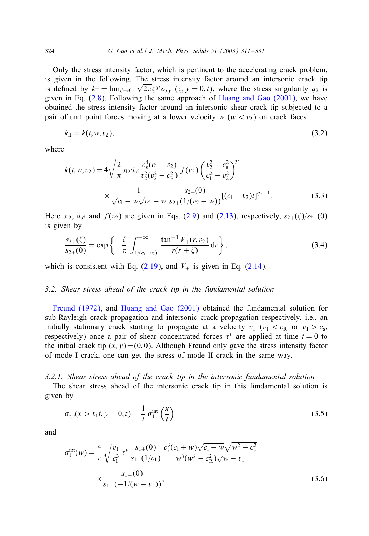<span id="page-13-0"></span>Only the stress intensity factor, which is pertinent to the accelerating crack problem, is given in the following. The stress intensity factor around an intersonic crack tip is defined by  $k_{\text{II}} = \lim_{\xi \to 0^+} \sqrt{2\pi \xi^{q_2} \sigma_{xy}}$  ( $\xi, y = 0, t$ ), where the stress singularity  $q_2$  is given in Eq.  $(2.8)$ . Following the same approach of Huang and Gao  $(2001)$ , we have obtained the stress intensity factor around an intersonic shear crack tip subjected to a pair of unit point forces moving at a lower velocity  $w (w < v_2)$  on crack faces

$$
k_{\rm II} = k(t, w, v_2),\tag{3.2}
$$

where

$$
k(t, w, v_2) = 4\sqrt{\frac{2}{\pi}}\alpha_{12}\hat{\alpha}_{s2}\frac{c_s^4(c_1 - v_2)}{v_2^2(v_2^2 - c_R^2)} f(v_2) \left(\frac{v_2^2 - c_s^2}{c_1^2 - v_2^2}\right)^{q_2}
$$
  
 
$$
\times \frac{1}{\sqrt{c_1 - w}\sqrt{v_2 - w}} \frac{s_{2+}(0)}{s_{2+}(1/(v_2 - w))} [(c_1 - v_2)t]^{q_2 - 1}.
$$
 (3.3)

Here  $\alpha_{12}$ ,  $\hat{\alpha}_{s2}$  and  $f(v_2)$  are given in Eqs. [\(2.9\)](#page-5-0) and [\(2.13\)](#page-6-0), respectively,  $s_{2+}(\zeta)/s_{2+}(0)$ is given by

$$
\frac{s_{2+}(\zeta)}{s_{2+}(0)} = \exp\left\{-\frac{\zeta}{\pi} \int_{1/(c_1 - v_2)}^{+\infty} \frac{\tan^{-1} V_{+}(r, v_2)}{r(r + \zeta)} dr\right\},\tag{3.4}
$$

which is consistent with Eq.  $(2.19)$ , and  $V_+$  is given in Eq.  $(2.14)$ .

#### *3.2. Shear stress aheadof the crack tip in the fundamental solution*

[Freund \(1972\),](#page-19-0) and [Huang and Gao \(2001\)](#page-19-0) obtained the fundamental solution for sub-Rayleigh crack propagation and intersonic crack propagation respectively, i.e., an initially stationary crack starting to propagate at a velocity  $v_1$  ( $v_1 < c_R$  or  $v_1 > c_s$ , respectively) once a pair of shear concentrated forces  $\tau^*$  are applied at time  $t = 0$  to the initial crack tip  $(x, y) = (0, 0)$ . Although Freund only gave the stress intensity factor of mode I crack, one can get the stress of mode II crack in the same way.

## *3.2.1. Shear stress aheadof the crack tip in the intersonic fundamental solution*

The shear stress ahead of the intersonic crack tip in this fundamental solution is given by

$$
\sigma_{xy}(x > v_1 t, y = 0, t) = \frac{1}{t} \sigma_1^{\text{int}} \left(\frac{x}{t}\right)
$$
\n(3.5)

and

$$
\sigma_1^{\text{int}}(w) = \frac{4}{\pi} \sqrt{\frac{v_1}{c_1^3}} \tau^* \frac{s_{1+}(0)}{s_{1+}(1/v_1)} \frac{c_s^3(c_1+w)\sqrt{c_1-w}\sqrt{w^2-c_s^2}}{w^3(w^2-c_R^2)\sqrt{w-v_1}} \times \frac{s_{1-}(0)}{s_{1-}(-1/(w-v_1))},
$$
\n(3.6)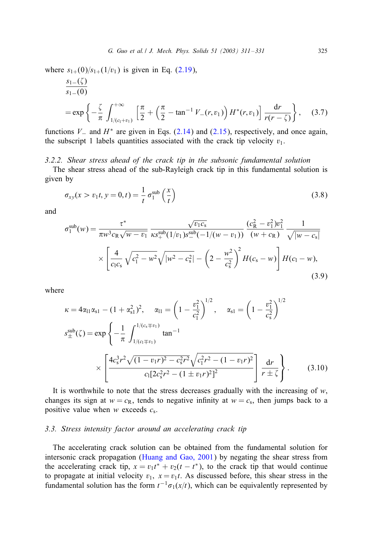<span id="page-14-0"></span>where  $s_{1+}(0)/s_{1+}(1/v_1)$  is given in Eq. [\(2.19\)](#page-7-0),

$$
\frac{s_{1-}(\zeta)}{s_{1-}(0)}
$$
\n
$$
= \exp\left\{-\frac{\zeta}{\pi} \int_{1/(c_1+v_1)}^{+\infty} \left[\frac{\pi}{2} + \left(\frac{\pi}{2} - \tan^{-1} V_{-}(r, v_1)\right) H^*(r, v_1)\right] \frac{dr}{r(r-\zeta)}\right\},
$$
(3.7)

functions  $V_$  and  $H^*$  are given in Eqs. [\(2.14\)](#page-6-0) and [\(2.15\)](#page-6-0), respectively, and once again, the subscript 1 labels quantities associated with the crack tip velocity  $v_1$ .

# *3.2.2. Shear stress aheadof the crack tip in the subsonic fundamental solution*

The shear stress ahead of the sub-Rayleigh crack tip in this fundamental solution is given by

$$
\sigma_{xy}(x > v_1 t, y = 0, t) = \frac{1}{t} \sigma_1^{\text{sub}} \left(\frac{x}{t}\right)
$$
\n(3.8)

and

$$
\sigma_1^{\text{sub}}(w) = \frac{\tau^*}{\pi w^3 c_R \sqrt{w - v_1}} \frac{\sqrt{v_1 c_s}}{\kappa s_+^{\text{sub}} (1/v_1) s_-^{\text{sub}} (-1/(w - v_1))} \frac{(c_R^2 - v_1^2) v_1^2}{(w + c_R)} \frac{1}{\sqrt{|w - c_s|}} \\ \times \left[ \frac{4}{c_l c_s} \sqrt{c_l^2 - w^2} \sqrt{|w^2 - c_s^2|} - \left(2 - \frac{w^2}{c_s^2}\right)^2 H(c_s - w) \right] H(c_l - w), \tag{3.9}
$$

where

$$
\kappa = 4\alpha_{11}\alpha_{s1} - (1 + \alpha_{s1}^2)^2, \quad \alpha_{11} = \left(1 - \frac{v_1^2}{c_1^2}\right)^{1/2}, \quad \alpha_{s1} = \left(1 - \frac{v_1^2}{c_s^2}\right)^{1/2}
$$

$$
s_{\pm}^{\text{sub}}(\zeta) = \exp\left\{-\frac{1}{\pi} \int_{1/(c_1 \mp v_1)}^{1/(c_s \mp v_1)} \tan^{-1} \times \left[\frac{4c_s^3 r^2 \sqrt{(1 - v_1 r)^2 - c_s^2 r^2} \sqrt{c_1^2 r^2 - (1 - v_1 r)^2}}{c_1 [2c_s^2 r^2 - (1 \pm v_1 r)^2]^2}\right] \frac{dr}{r \pm \zeta}.
$$
(3.10)

It is worthwhile to note that the stress decreases gradually with the increasing of  $w$ , changes its sign at  $w = c_R$ , tends to negative infinity at  $w = c_s$ , then jumps back to a positive value when  $w$  exceeds  $c_s$ .

#### *3.3. Stress intensity factor around an accelerating crack tip*

The accelerating crack solution can be obtained from the fundamental solution for intersonic crack propagation [\(Huang and Gao, 2001\)](#page-19-0) by negating the shear stress from the accelerating crack tip,  $x = v_1 t^* + v_2(t - t^*)$ , to the crack tip that would continue to propagate at initial velocity  $v_1$ ,  $x = v_1t$ . As discussed before, this shear stress in the fundamental solution has the form  $t^{-1}\sigma_1(x/t)$ , which can be equivalently represented by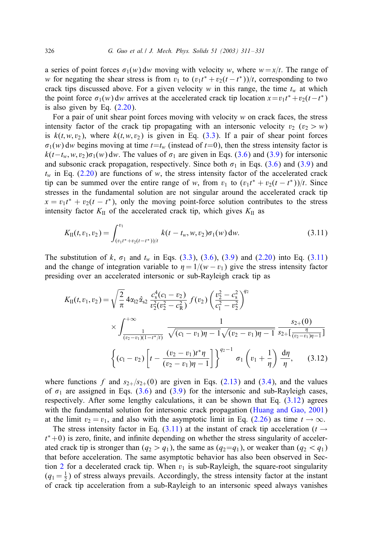<span id="page-15-0"></span>a series of point forces  $\sigma_1(w)$  dw moving with velocity w, where  $w = x/t$ . The range of w for negating the shear stress is from  $v_1$  to  $(v_1t^* + v_2(t - t^*))/t$ , corresponding to two crack tips discussed above. For a given velocity w in this range, the time  $t_w$  at which the point force  $\sigma_1(w)$  dw arrives at the accelerated crack tip location  $x = v_1 t^* + v_2(t - t^*)$ is also given by Eq. [\(2.20\)](#page-7-0).

For a pair of unit shear point forces moving with velocity  $w$  on crack faces, the stress intensity factor of the crack tip propagating with an intersonic velocity  $v_2$  ( $v_2 > w$ ) is  $k(t, w, v_2)$ , where  $k(t, w, v_2)$  is given in Eq. [\(3.3\)](#page-13-0). If a pair of shear point forces  $\sigma_1(w)$  dw begins moving at time  $t=t_w$  (instead of  $t=0$ ), then the stress intensity factor is  $k(t-t_w, w, v_2)\sigma_1(w)$  dw. The values of  $\sigma_1$  are given in Eqs. [\(3.6\)](#page-13-0) and [\(3.9\)](#page-14-0) for intersonic and subsonic crack propagation, respectively. Since both  $\sigma_1$  in Eqs. [\(3.6\)](#page-13-0) and [\(3.9\)](#page-14-0) and  $t_w$  in Eq. [\(2.20\)](#page-7-0) are functions of w, the stress intensity factor of the accelerated crack tip can be summed over the entire range of w, from  $v_1$  to  $(v_1t^* + v_2(t - t^*))/t$ . Since stresses in the fundamental solution are not singular around the accelerated crack tip  $x = v_1 t^* + v_2(t - t^*)$ , only the moving point-force solution contributes to the stress intensity factor  $K_{II}$  of the accelerated crack tip, which gives  $K_{II}$  as

$$
K_{\text{II}}(t, v_1, v_2) = \int_{(v_1 t^* + v_2(t - t^*))/t}^{v_1} k(t - t_w, w, v_2) \sigma_1(w) \, dw. \tag{3.11}
$$

The substitution of k,  $\sigma_1$  and  $t_w$  in Eqs. [\(3.3\)](#page-13-0), [\(3.6\)](#page-13-0), [\(3.9\)](#page-14-0) and [\(2.20\)](#page-7-0) into Eq. (3.11) and the change of integration variable to  $\eta = 1/(w - v_1)$  give the stress intensity factor presiding over an accelerated intersonic or sub-Rayleigh crack tip as

$$
K_{II}(t, v_1, v_2) = \sqrt{\frac{2}{\pi}} 4\alpha_{12} \hat{\alpha}_{s2} \frac{c_s^4 (c_1 - v_2)}{v_2^2 (v_2^2 - c_R^2)} f(v_2) \left(\frac{v_2^2 - c_s^2}{c_1^2 - v_2^2}\right)^{q_2}
$$
  
 
$$
\times \int_{\frac{1}{(v_2 - v_1)(1 - t^*/t)}}^{+\infty} \frac{1}{\sqrt{(c_1 - v_1)\eta - 1} \sqrt{(v_2 - v_1)\eta - 1}} \frac{s_{2+}(0)}{s_{2+}[\frac{\eta}{(v_2 - v_1)\eta - 1}]}
$$
  

$$
\left\{ (c_1 - v_2) \left[ t - \frac{(v_2 - v_1)t^*\eta}{(v_2 - v_1)\eta - 1} \right] \right\}^{q_2 - 1} \sigma_1 \left( v_1 + \frac{1}{\eta} \right) \frac{d\eta}{\eta}, \qquad (3.12)
$$

where functions f and  $s_{2+}/s_{2+}(0)$  are given in Eqs. [\(2.13\)](#page-6-0) and [\(3.4\)](#page-13-0), and the values of  $\sigma_1$  are assigned in Eqs. [\(3.6\)](#page-13-0) and [\(3.9\)](#page-14-0) for the intersonic and sub-Rayleigh cases, respectively. After some lengthy calculations, it can be shown that Eq. (3.12) agrees with the fundamental solution for intersonic crack propagation [\(Huang and Gao, 2001\)](#page-19-0) at the limit  $v_2 = v_1$ , and also with the asymptotic limit in Eq. [\(2.26\)](#page-10-0) as time  $t \to \infty$ .

The stress intensity factor in Eq. (3.11) at the instant of crack tip acceleration ( $t \rightarrow$  $t^*$ +0) is zero, finite, and infinite depending on whether the stress singularity of accelerated crack tip is stronger than  $(q_2 > q_1)$ , the same as  $(q_2 = q_1)$ , or weaker than  $(q_2 < q_1)$ that before acceleration. The same asymptotic behavior has also been observed in Sec-tion [2](#page-3-0) for a decelerated crack tip. When  $v_1$  is sub-Rayleigh, the square-root singularity  $(q_1 = \frac{1}{2})$  of stress always prevails. Accordingly, the stress intensity factor at the instant of crack tip acceleration from a sub-Rayleigh to an intersonic speed always vanishes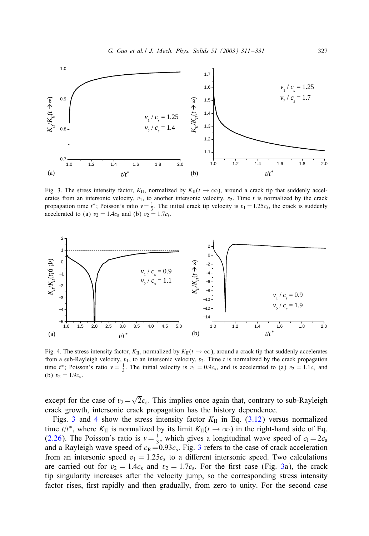<span id="page-16-0"></span>

Fig. 3. The stress intensity factor,  $K_{II}$ , normalized by  $K_{II}(t \to \infty)$ , around a crack tip that suddenly accelerates from an intersonic velocity,  $v_1$ , to another intersonic velocity,  $v_2$ . Time t is normalized by the crack propagation time  $t^*$ ; Poisson's ratio  $v = \frac{1}{3}$ . The initial crack tip velocity is  $v_1 = 1.25c_s$ , the crack is suddenly accelerated to (a)  $v_2 = 1.4c_s$  and (b)  $v_2 = 1.7c_s$ .



Fig. 4. The stress intensity factor,  $K_{II}$ , normalized by  $K_{II}(t \to \infty)$ , around a crack tip that suddenly accelerates from a sub-Rayleigh velocity,  $v_1$ , to an intersonic velocity,  $v_2$ . Time t is normalized by the crack propagation time  $t^*$ ; Poisson's ratio  $v = \frac{1}{3}$ . The initial velocity is  $v_1 = 0.9c_s$ , and is accelerated to (a)  $v_2 = 1.1c_s$  and (b)  $v_2 = 1.9c_s$ .

except for the case of  $v_2 = \sqrt{2}c_s$ . This implies once again that, contrary to sub-Rayleigh crack growth, intersonic crack propagation has the history dependence.

Figs. 3 and 4 show the stress intensity factor  $K_{II}$  in Eq. [\(3.12\)](#page-15-0) versus normalized time  $t/t^*$ , where  $K_{II}$  is normalized by its limit  $K_{II}(t \to \infty)$  in the right-hand side of Eq. [\(2.26\)](#page-10-0). The Poisson's ratio is  $v = \frac{1}{3}$ , which gives a longitudinal wave speed of  $c_1 = 2c_s$ and a Rayleigh wave speed of  $c_R=0.93c_s$ . Fig. 3 refers to the case of crack acceleration from an intersonic speed  $v_1 = 1.25c_s$  to a different intersonic speed. Two calculations are carried out for  $v_2 = 1.4c_s$  and  $v_2 = 1.7c_s$ . For the first case (Fig. 3a), the crack tip singularity increases after the velocity jump, so the corresponding stress intensity factor rises, first rapidly and then gradually, from zero to unity. For the second case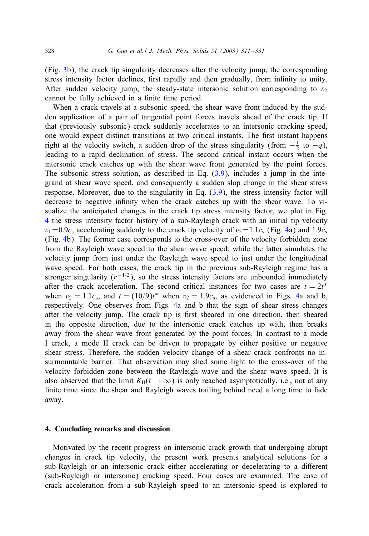(Fig. [3b](#page-16-0)), the crack tip singularity decreases after the velocity jump, the corresponding stress intensity factor declines, first rapidly and then gradually, from infinity to unity. After sudden velocity jump, the steady-state intersonic solution corresponding to  $v_2$ cannot be fully achieved in a finite time period.

When a crack travels at a subsonic speed, the shear wave front induced by the sudden application of a pair of tangential point forces travels ahead of the crack tip. If that (previously subsonic) crack suddenly accelerates to an intersonic cracking speed, one would expect distinct transitions at two critical instants. The first instant happens right at the velocity switch, a sudden drop of the stress singularity (from  $-\frac{1}{2}$  to  $-q$ ), leading to a rapid declination of stress. The second critical instant occurs when the intersonic crack catches up with the shear wave front generated by the point forces. The subsonic stress solution, as described in Eq. [\(3.9\)](#page-14-0), includes a jump in the integrand at shear wave speed, and consequently a sudden slop change in the shear stress response. Moreover, due to the singularity in Eq. [\(3.9\)](#page-14-0), the stress intensity factor will decrease to negative infinity when the crack catches up with the shear wave. To visualize the anticipated changes in the crack tip stress intensity factor, we plot in Fig. [4](#page-16-0) the stress intensity factor history of a sub-Rayleigh crack with an initial tip velocity  $v_1=0.9c_s$  accelerating suddenly to the crack tip velocity of  $v_2=1.1c_s$  (Fig. [4a](#page-16-0)) and 1.9cs (Fig. [4b](#page-16-0)). The former case corresponds to the cross-over of the velocity forbidden zone from the Rayleigh wave speed to the shear wave speed; while the latter simulates the velocity jump from just under the Rayleigh wave speed to just under the longitudinal wave speed. For both cases, the crack tip in the previous sub-Rayleigh regime has a stronger singularity  $(r^{-1/2})$ , so the stress intensity factors are unbounded immediately after the crack acceleration. The second critical instances for two cases are  $t = 2t^*$ when  $v_2 = 1.1c_s$ , and  $t = (10/9)t^*$  when  $v_2 = 1.9c_s$ , as evidenced in Figs. [4a](#page-16-0) and b, respectively. One observes from Figs. [4a](#page-16-0) and b that the sign of shear stress changes after the velocity jump. The crack tip is first sheared in one direction, then sheared in the opposite direction, due to the intersonic crack catches up with, then breaks away from the shear wave front generated by the point forces. In contrast to a mode I crack, a mode II crack can be driven to propagate by either positive or negative shear stress. Therefore, the sudden velocity change of a shear crack confronts no insurmountable barrier. That observation may shed some light to the cross-over of the velocity forbidden zone between the Rayleigh wave and the shear wave speed. It is also observed that the limit  $K_{\text{II}}(t \to \infty)$  is only reached asymptotically, i.e., not at any finite time since the shear and Rayleigh waves trailing behind need a long time to fade away.

#### 4. Concluding remarks and discussion

Motivated by the recent progress on intersonic crack growth that undergoing abrupt changes in crack tip velocity, the present work presents analytical solutions for a sub-Rayleigh or an intersonic crack either accelerating or decelerating to a different (sub-Rayleigh or intersonic) cracking speed. Four cases are examined. The case of crack acceleration from a sub-Rayleigh speed to an intersonic speed is explored to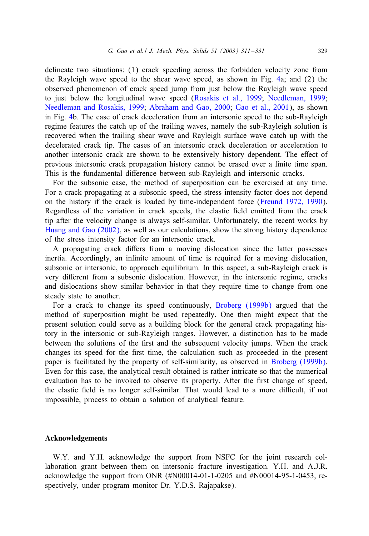delineate two situations: (1) crack speeding across the forbidden velocity zone from the Rayleigh wave speed to the shear wave speed, as shown in Fig. [4a](#page-16-0); and (2) the observed phenomenon of crack speed jump from just below the Rayleigh wave speed to just below the longitudinal wave speed [\(Rosakis et al., 1999;](#page-19-0) [Needleman, 1999;](#page-19-0) [Needleman and Rosakis, 1999;](#page-19-0) [Abraham and Gao, 2000;](#page-19-0) [Gao et al., 2001\)](#page-19-0), as shown in Fig. [4b](#page-16-0). The case of crack deceleration from an intersonic speed to the sub-Rayleigh regime features the catch up of the trailing waves, namely the sub-Rayleigh solution is recovered when the trailing shear wave and Rayleigh surface wave catch up with the decelerated crack tip. The cases of an intersonic crack deceleration or acceleration to another intersonic crack are shown to be extensively history dependent. The effect of previous intersonic crack propagation history cannot be erased over a 5nite time span. This is the fundamental difference between sub-Rayleigh and intersonic cracks.

For the subsonic case, the method of superposition can be exercised at any time. For a crack propagating at a subsonic speed, the stress intensity factor does not depend on the history if the crack is loaded by time-independent force [\(Freund 1972, 1990\)](#page-19-0). Regardless of the variation in crack speeds, the elastic field emitted from the crack tip after the velocity change is always self-similar. Unfortunately, the recent works by [Huang and Gao \(2002\),](#page-19-0) as well as our calculations, show the strong history dependence of the stress intensity factor for an intersonic crack.

A propagating crack differs from a moving dislocation since the latter possesses inertia. Accordingly, an infinite amount of time is required for a moving dislocation, subsonic or intersonic, to approach equilibrium. In this aspect, a sub-Rayleigh crack is very different from a subsonic dislocation. However, in the intersonic regime, cracks and dislocations show similar behavior in that they require time to change from one steady state to another.

For a crack to change its speed continuously, [Broberg \(1999b\)](#page-19-0) argued that the method of superposition might be used repeatedly. One then might expect that the present solution could serve as a building block for the general crack propagating history in the intersonic or sub-Rayleigh ranges. However, a distinction has to be made between the solutions of the first and the subsequent velocity jumps. When the crack changes its speed for the first time, the calculation such as proceeded in the present paper is facilitated by the property of self-similarity, as observed in [Broberg \(1999b\).](#page-19-0) Even for this case, the analytical result obtained is rather intricate so that the numerical evaluation has to be invoked to observe its property. After the first change of speed, the elastic field is no longer self-similar. That would lead to a more difficult, if not impossible, process to obtain a solution of analytical feature.

## Acknowledgements

W.Y. and Y.H. acknowledge the support from NSFC for the joint research collaboration grant between them on intersonic fracture investigation. Y.H. and A.J.R. acknowledge the support from ONR (#N00014-01-1-0205 and #N00014-95-1-0453, respectively, under program monitor Dr. Y.D.S. Rajapakse).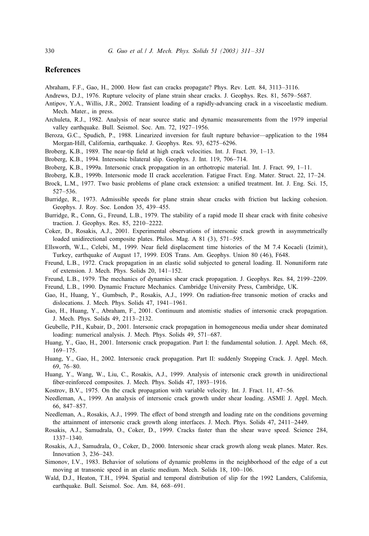#### <span id="page-19-0"></span>**References**

Abraham, F.F., Gao, H., 2000. How fast can cracks propagate? Phys. Rev. Lett. 84, 3113–3116.

- Andrews, D.J., 1976. Rupture velocity of plane strain shear cracks. J. Geophys. Res. 81, 5679–5687.
- Antipov, Y.A., Willis, J.R., 2002. Transient loading of a rapidly-advancing crack in a viscoelastic medium. Mech. Mater., in press.
- Archuleta, R.J., 1982. Analysis of near source static and dynamic measurements from the 1979 imperial valley earthquake. Bull. Seismol. Soc. Am. 72, 1927–1956.
- Beroza, G.C., Spudich, P., 1988. Linearized inversion for fault rupture behavior—application to the 1984 Morgan-Hill, California, earthquake. J. Geophys. Res. 93, 6275–6296.
- Broberg, K.B., 1989. The near-tip field at high crack velocities. Int. J. Fract.  $39$ ,  $1-13$ .
- Broberg, K.B., 1994. Intersonic bilateral slip. Geophys. J. Int. 119, 706–714.
- Broberg, K.B., 1999a. Intersonic crack propagation in an orthotropic material. Int. J. Fract. 99, 1–11.
- Broberg, K.B., 1999b. Intersonic mode II crack acceleration. Fatigue Fract. Eng. Mater. Struct. 22, 17–24.
- Brock, L.M., 1977. Two basic problems of plane crack extension: a unified treatment. Int. J. Eng. Sci. 15, 527–536.
- Burridge, R., 1973. Admissible speeds for plane strain shear cracks with friction but lacking cohesion. Geophys. J. Roy. Soc. London 35, 439–455.
- Burridge, R., Conn, G., Freund, L.B., 1979. The stability of a rapid mode II shear crack with finite cohesive traction. J. Geophys. Res. 85, 2210–2222.
- Coker, D., Rosakis, A.J., 2001. Experimental observations of intersonic crack growth in assymmetrically loaded unidirectional composite plates. Philos. Mag. A 81 (3), 571–595.
- Ellsworth, W.L., Celebi, M., 1999. Near field displacement time histories of the M 7.4 Kocaeli (Izimit), Turkey, earthquake of August 17, 1999. EOS Trans. Am. Geophys. Union 80 (46), F648.
- Freund, L.B., 1972. Crack propagation in an elastic solid subjected to general loading. II. Nonuniform rate of extension. J. Mech. Phys. Solids 20, 141–152.
- Freund, L.B., 1979. The mechanics of dynamics shear crack propagation. J. Geophys. Res. 84, 2199–2209.
- Freund, L.B., 1990. Dynamic Fracture Mechanics. Cambridge University Press, Cambridge, UK.
- Gao, H., Huang, Y., Gumbsch, P., Rosakis, A.J., 1999. On radiation-free transonic motion of cracks and dislocations. J. Mech. Phys. Solids 47, 1941–1961.
- Gao, H., Huang, Y., Abraham, F., 2001. Continuum and atomistic studies of intersonic crack propagation. J. Mech. Phys. Solids 49, 2113–2132.
- Geubelle, P.H., Kubair, D., 2001. Intersonic crack propagation in homogeneous media under shear dominated loading: numerical analysis. J. Mech. Phys. Solids 49, 571–687.
- Huang, Y., Gao, H., 2001. Intersonic crack propagation. Part I: the fundamental solution. J. Appl. Mech. 68, 169–175.
- Huang, Y., Gao, H., 2002. Intersonic crack propagation. Part II: suddenly Stopping Crack. J. Appl. Mech. 69, 76–80.
- Huang, Y., Wang, W., Liu, C., Rosakis, A.J., 1999. Analysis of intersonic crack growth in unidirectional fiber-reinforced composites. J. Mech. Phys. Solids 47, 1893-1916.
- Kostrov, B.V., 1975. On the crack propagation with variable velocity. Int. J. Fract. 11, 47–56.
- Needleman, A., 1999. An analysis of intersonic crack growth under shear loading. ASME J. Appl. Mech. 66, 847–857.
- Needleman, A., Rosakis, A.J., 1999. The effect of bond strength and loading rate on the conditions governing the attainment of intersonic crack growth along interfaces. J. Mech. Phys. Solids 47, 2411–2449.
- Rosakis, A.J., Samudrala, O., Coker, D., 1999. Cracks faster than the shear wave speed. Science 284, 1337–1340.
- Rosakis, A.J., Samudrala, O., Coker, D., 2000. Intersonic shear crack growth along weak planes. Mater. Res. Innovation 3, 236–243.
- Simonov, I.V., 1983. Behavior of solutions of dynamic problems in the neighborhood of the edge of a cut moving at transonic speed in an elastic medium. Mech. Solids 18, 100–106.
- Wald, D.J., Heaton, T.H., 1994. Spatial and temporal distribution of slip for the 1992 Landers, California, earthquake. Bull. Seismol. Soc. Am. 84, 668–691.